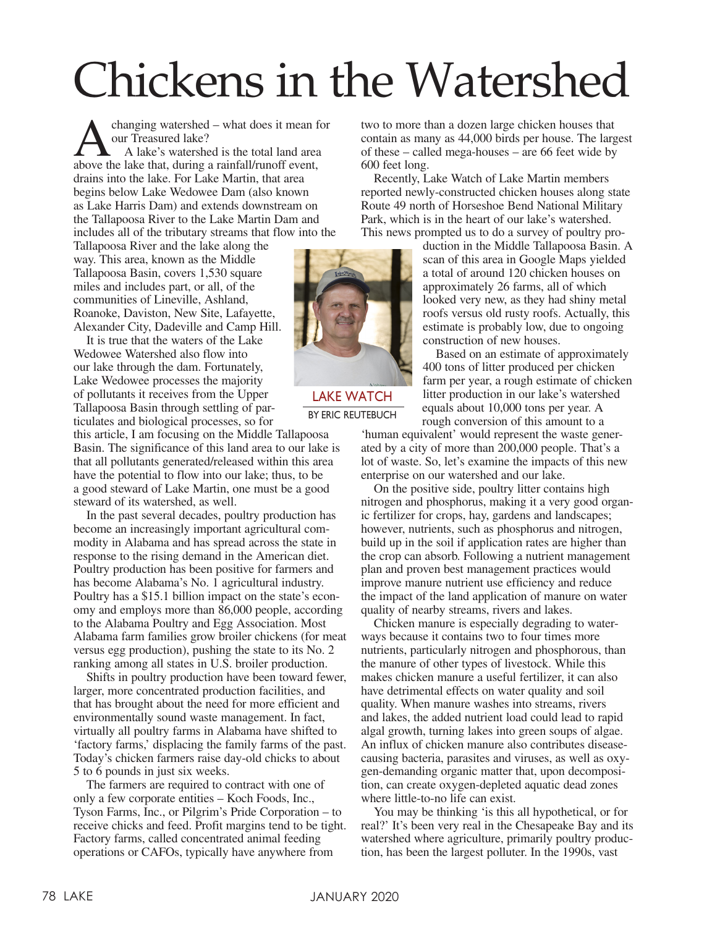## Chickens in the Watershed

changing watershed – what does it mean for our Treasured lake? A lake's watershed is the total land area above the lake that, during a rainfall/runoff event, drains into the lake. For Lake Martin, that area begins below Lake Wedowee Dam (also known as Lake Harris Dam) and extends downstream on the Tallapoosa River to the Lake Martin Dam and includes all of the tributary streams that flow into the

Tallapoosa River and the lake along the way. This area, known as the Middle Tallapoosa Basin, covers 1,530 square miles and includes part, or all, of the communities of Lineville, Ashland, Roanoke, Daviston, New Site, Lafayette, Alexander City, Dadeville and Camp Hill.

It is true that the waters of the Lake Wedowee Watershed also flow into our lake through the dam. Fortunately, Lake Wedowee processes the majority of pollutants it receives from the Upper Tallapoosa Basin through settling of particulates and biological processes, so for

this article, I am focusing on the Middle Tallapoosa Basin. The significance of this land area to our lake is that all pollutants generated/released within this area have the potential to flow into our lake; thus, to be a good steward of Lake Martin, one must be a good steward of its watershed, as well.

In the past several decades, poultry production has become an increasingly important agricultural commodity in Alabama and has spread across the state in response to the rising demand in the American diet. Poultry production has been positive for farmers and has become Alabama's No. 1 agricultural industry. Poultry has a \$15.1 billion impact on the state's economy and employs more than 86,000 people, according to the Alabama Poultry and Egg Association. Most Alabama farm families grow broiler chickens (for meat versus egg production), pushing the state to its No. 2 ranking among all states in U.S. broiler production.

Shifts in poultry production have been toward fewer, larger, more concentrated production facilities, and that has brought about the need for more efficient and environmentally sound waste management. In fact, virtually all poultry farms in Alabama have shifted to 'factory farms,' displacing the family farms of the past. Today's chicken farmers raise day-old chicks to about 5 to 6 pounds in just six weeks.

The farmers are required to contract with one of only a few corporate entities – Koch Foods, Inc., Tyson Farms, Inc., or Pilgrim's Pride Corporation – to receive chicks and feed. Profit margins tend to be tight. Factory farms, called concentrated animal feeding operations or CAFOs, typically have anywhere from

two to more than a dozen large chicken houses that contain as many as 44,000 birds per house. The largest of these – called mega-houses – are 66 feet wide by 600 feet long.

Recently, Lake Watch of Lake Martin members reported newly-constructed chicken houses along state Route 49 north of Horseshoe Bend National Military Park, which is in the heart of our lake's watershed. This news prompted us to do a survey of poultry pro-

> duction in the Middle Tallapoosa Basin. A scan of this area in Google Maps yielded a total of around 120 chicken houses on approximately 26 farms, all of which looked very new, as they had shiny metal roofs versus old rusty roofs. Actually, this estimate is probably low, due to ongoing construction of new houses.

> Based on an estimate of approximately 400 tons of litter produced per chicken farm per year, a rough estimate of chicken litter production in our lake's watershed equals about 10,000 tons per year. A rough conversion of this amount to a

'human equivalent' would represent the waste generated by a city of more than 200,000 people. That's a lot of waste. So, let's examine the impacts of this new enterprise on our watershed and our lake.

On the positive side, poultry litter contains high nitrogen and phosphorus, making it a very good organic fertilizer for crops, hay, gardens and landscapes; however, nutrients, such as phosphorus and nitrogen, build up in the soil if application rates are higher than the crop can absorb. Following a nutrient management plan and proven best management practices would improve manure nutrient use efficiency and reduce the impact of the land application of manure on water quality of nearby streams, rivers and lakes.

Chicken manure is especially degrading to waterways because it contains two to four times more nutrients, particularly nitrogen and phosphorous, than the manure of other types of livestock. While this makes chicken manure a useful fertilizer, it can also have detrimental effects on water quality and soil quality. When manure washes into streams, rivers and lakes, the added nutrient load could lead to rapid algal growth, turning lakes into green soups of algae. An influx of chicken manure also contributes diseasecausing bacteria, parasites and viruses, as well as oxygen-demanding organic matter that, upon decomposition, can create oxygen-depleted aquatic dead zones where little-to-no life can exist.

You may be thinking 'is this all hypothetical, or for real?' It's been very real in the Chesapeake Bay and its watershed where agriculture, primarily poultry production, has been the largest polluter. In the 1990s, vast



LAKE WATCH BY ERIC REUTEBUCH